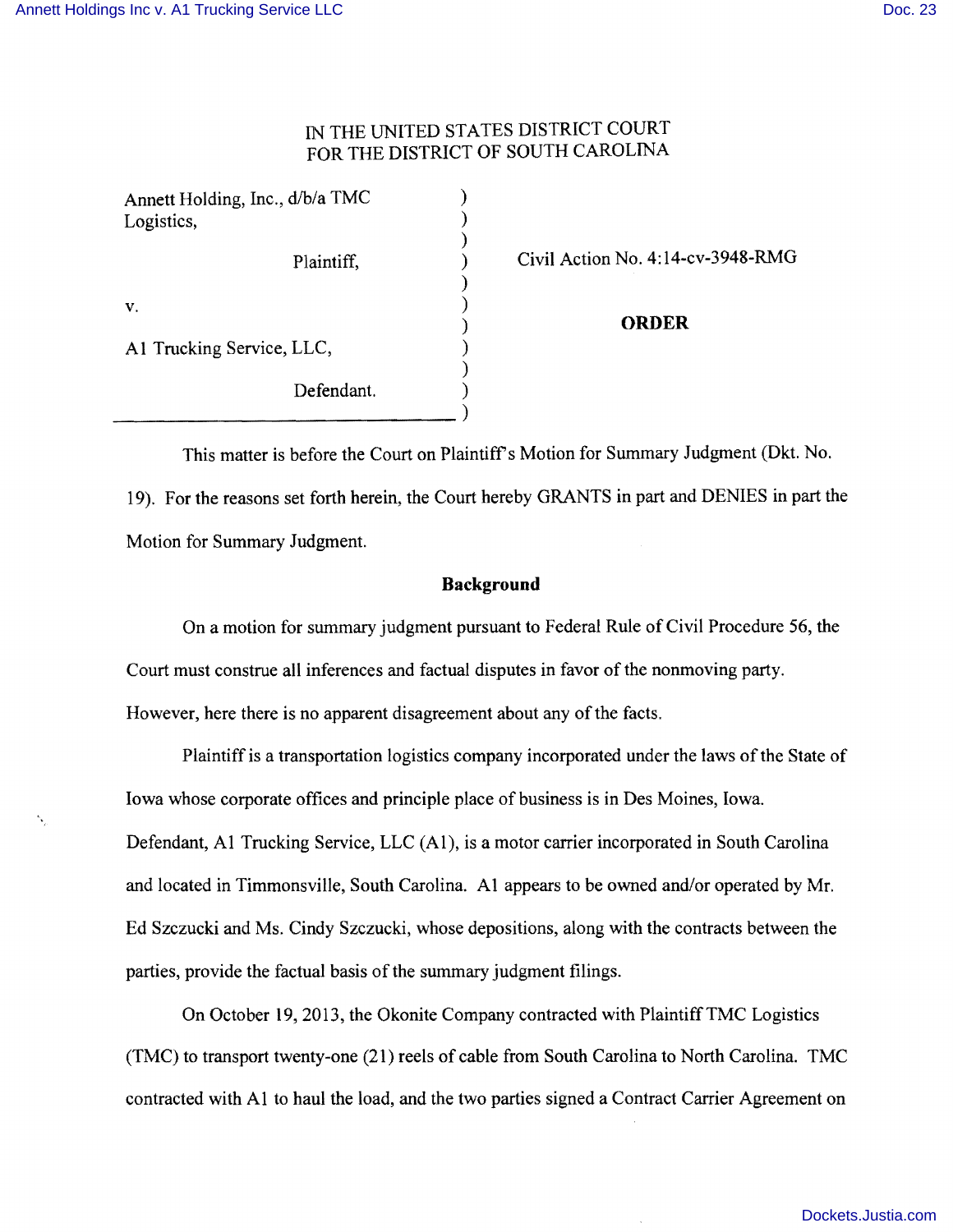# THE UNITED STATES DISTRICT COURT FOR THE DISTRICT OF SOUTH CAROLINA

| Annett Holding, Inc., d/b/a TMC<br>Logistics, |  |
|-----------------------------------------------|--|
| Plaintiff,                                    |  |
| V.                                            |  |
| A1 Trucking Service, LLC,                     |  |
| Defendant.                                    |  |
|                                               |  |

Civil Action No. 4:14-cv-3948-RMG

) **ORDER** 

This matter is before the Court on Plaintiff's Motion for Summary Judgment (Dkt. No. 19). For the reasons set forth herein, the Court hereby GRANTS in part and DENIES in part the Motion for Summary Judgment.

#### **Background**

On a motion for summary judgment pursuant to Federal Rule of Civil Procedure 56, the Court must construe all inferences and factual disputes in favor of the nonmoving party. However, here there is no apparent disagreement about any of the facts.

Plaintiff is a transportation logistics company incorporated under the laws of the State of Iowa whose corporate offices and principle place of business is in Des Moines, Iowa. Defendant, Al Trucking Service, LLC (AI), is a motor carrier incorporated in South Carolina and located in Timmonsville, South Carolina. Al appears to be owned and/or operated by Mr. Ed Szczucki and Ms. Cindy Szczucki, whose depositions, along with the contracts between the parties, provide the factual basis of the summary judgment filings.

On October 19,2013, the Okonite Company contracted with PlaintiffTMC Logistics (TMC) to transport twenty-one (21) reels of cable from South Carolina to North Carolina. TMC contracted with Al to haul the load, and the two parties signed a Contract Carrier Agreement on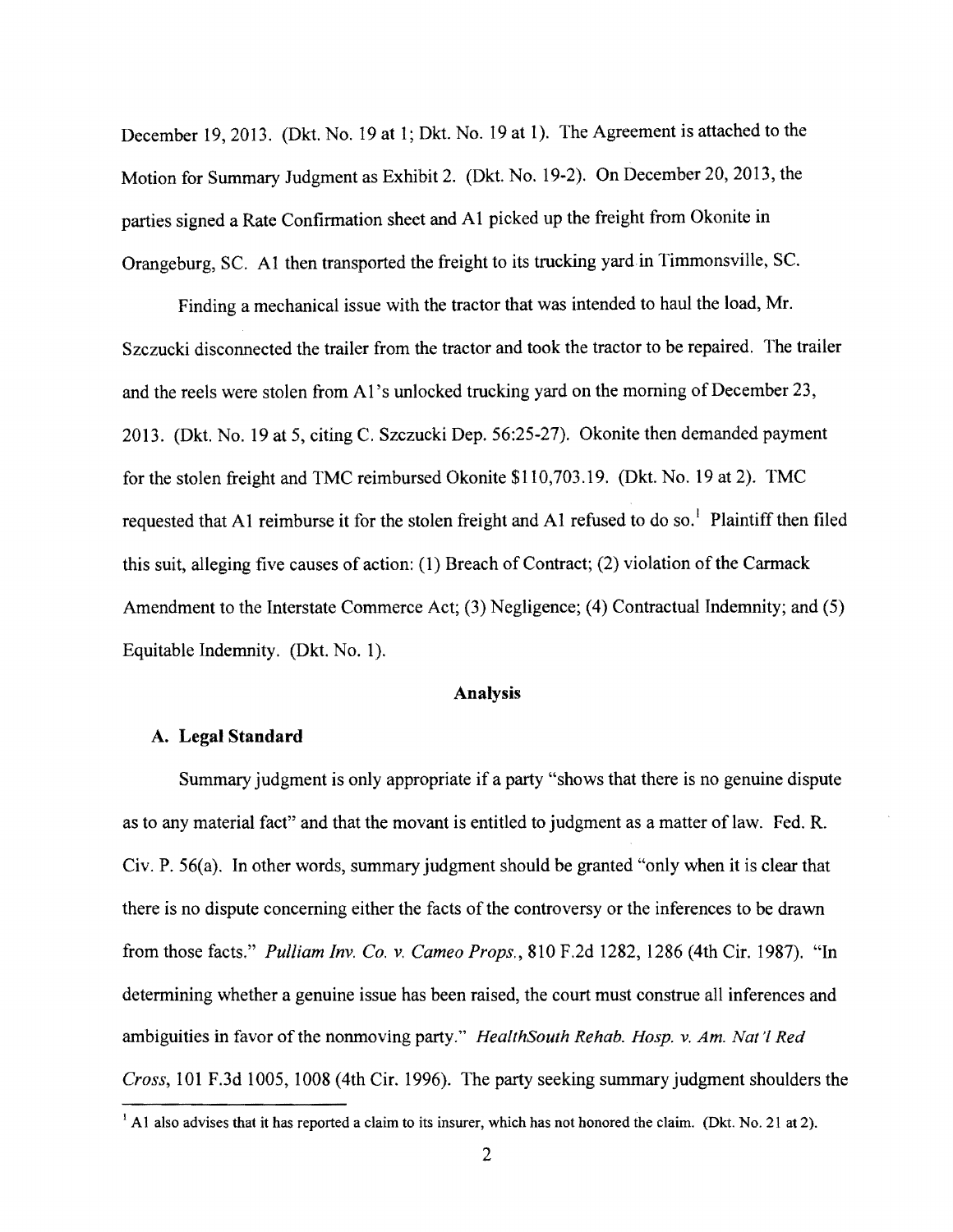December 19,2013. (Dkt. No. 19 at 1; Dkt. No. 19 at 1). The Agreement is attached to the Motion for Summary Judgment as Exhibit 2. (Dkt. No. 19-2). On December 20, 2013, the parties signed a Rate Confirmation sheet and Al picked up the freight from Okonite in Orangeburg, SC. Al then transported the freight to its trucking yardin Timmonsville, SC.

Finding a mechanical issue with the tractor that was intended to haul the load, Mr. Szczucki disconnected the trailer from the tractor and took the tractor to be repaired. The trailer and the reels were stolen from AI's unlocked trucking yard on the morning of December 23, 2013. (Dkt. No. 19 at 5, citing C. Szczucki Dep. 56:25-27). Okonite then demanded payment for the stolen freight and TMC reimbursed Okonite \$110,703.19. (Dkt. No. 19 at 2). TMC requested that A1 reimburse it for the stolen freight and A1 refused to do so.<sup>1</sup> Plaintiff then filed this suit, alleging five causes of action: (1) Breach of Contract; (2) violation of the Carmack Amendment to the Interstate Commerce Act; (3) Negligence; (4) Contractual Indemnity; and (5) Equitable Indemnity. (Dkt. No.1).

#### Analysis

# A. Legal Standard

Summary judgment is only appropriate if a party "shows that there is no genuine dispute as to any material fact" and that the movant is entitled to judgment as a matter of law. Fed. R. Civ. P. 56(a). In other words, summary judgment should be granted "only when it is clear that there is no dispute concerning either the facts of the controversy or the inferences to be drawn from those facts." *Pulliam Inv. Co. v. Cameo Props.,* 810 F.2d 1282, 1286 (4th Cir. 1987). "In determining whether a genuine issue has been raised, the court must construe all inferences and ambiguities in favor of the nonmoving party." *HealthSouth Rehab. Hosp. v. Am. Nat* 'f *Red Cross,* 101 F.3d 1005, 1008 (4th Cir. 1996). The party seeking summary judgment shoulders the

<sup>&</sup>lt;sup>1</sup> A1 also advises that it has reported a claim to its insurer, which has not honored the claim. (Dkt. No. 21 at 2).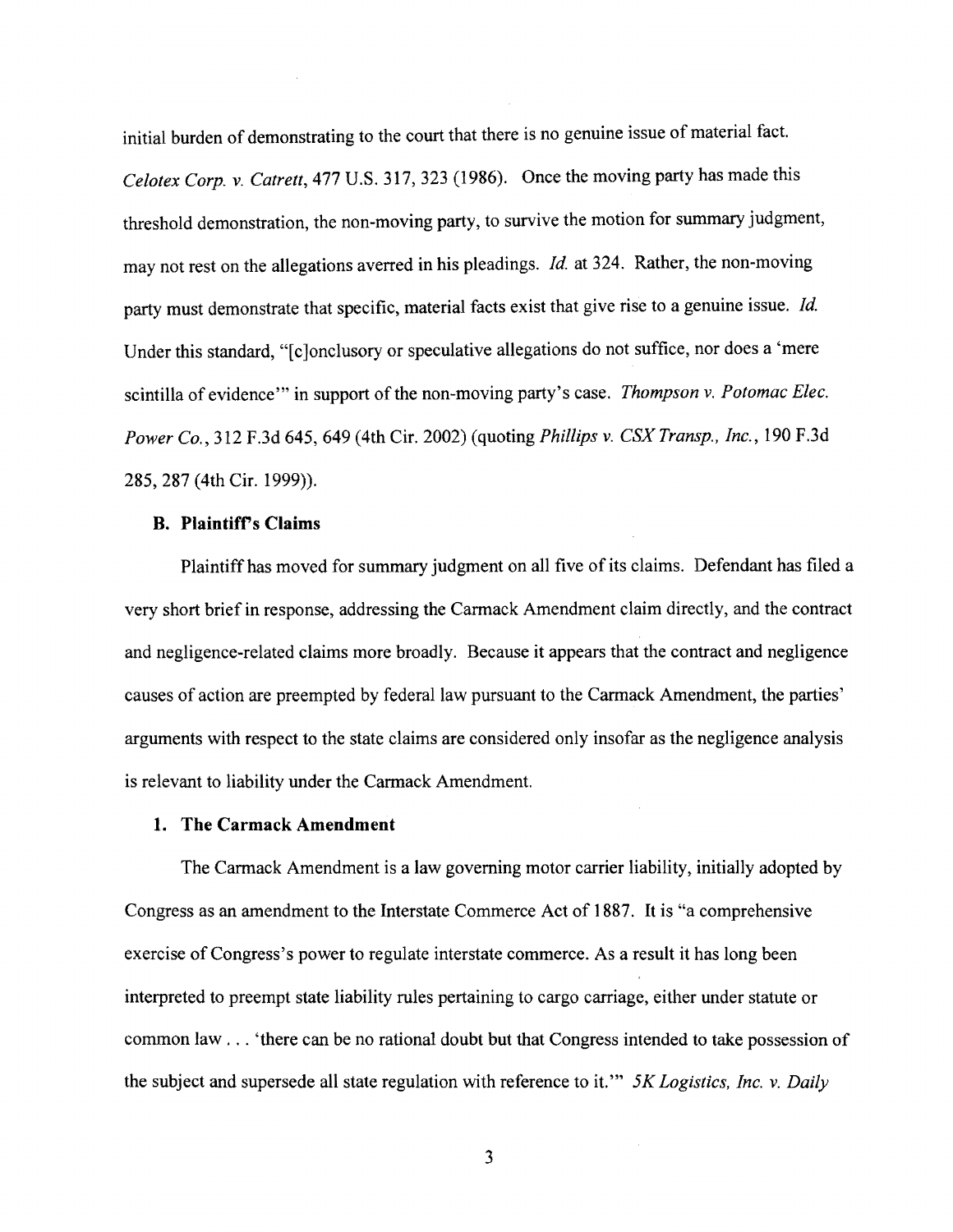initial burden of demonstrating to the court that there is no genuine issue of material fact. *Celotex Corp.* v. *Catrett,* 477 U.S. 317, 323 (1986). Once the moving party has made this threshold demonstration, the non-moving party, to survive the motion for summary judgment, may not rest on the allegations averred in his pleadings. *Id.* at 324. Rather, the non-moving party must demonstrate that specific, material facts exist that give rise to a genuine issue. *Id.*  Under this standard, "[c ]onclusory or speculative allegations do not suffice, nor does a 'mere scintilla of evidence'" in support of the non-moving party's case. *Thompson* v. *Potomac Elec. Power Co.,* 312 F.3d 645,649 (4th Cir. 2002) (quoting *Phillips* v. *CSX Transp., Inc.,* 190 F.3d 285,287 (4th Cir. 1999)).

### **B. Plaintiff's Claims**

Plaintiff has moved for summary judgment on all five of its claims. Defendant has filed a very short brief in response, addressing the Carmack Amendment claim directly, and the contract and negligence-related claims more broadly. Because it appears that the contract and negligence causes of action are preempted by federal law pursuant to the Carmack Amendment, the parties' arguments with respect to the state claims are considered only insofar as the negligence analysis is relevant to liability under the Carmack Amendment.

### **1. The Carmack Amendment**

The Carmack Amendment is a law governing motor carrier liability, initially adopted by Congress as an amendment to the Interstate Commerce Act of 1887. It is "a comprehensive exercise of Congress's power to regulate interstate commerce. As a result it has long been interpreted to preempt state liability rules pertaining to cargo carriage, either under statute or common law ... 'there can be no rational doubt but that Congress intended to take possession of the subject and supersede all state regulation with reference to it.'" *5K Logistics, Inc.* v. *Daily* 

3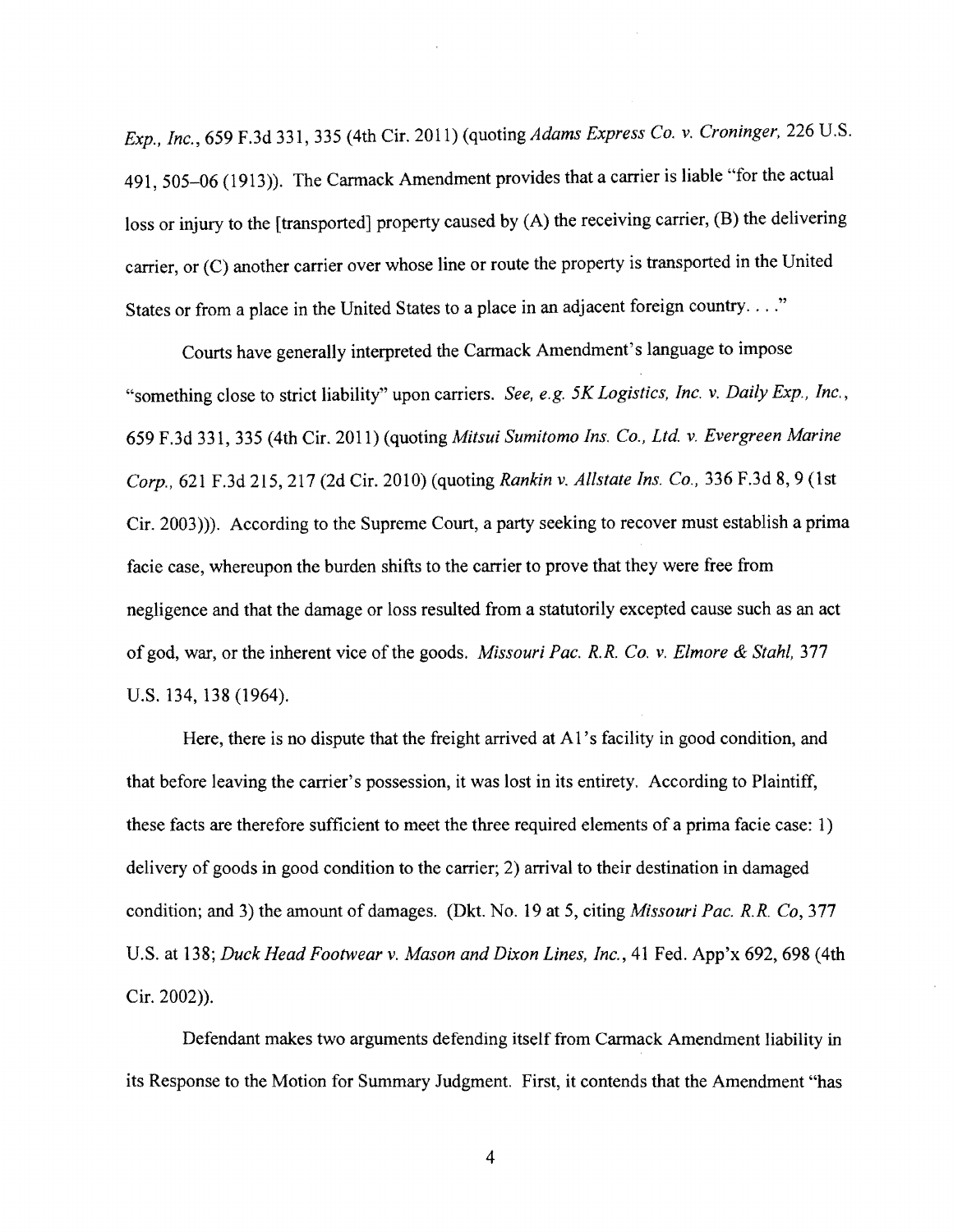*Exp., Inc.,* 659 F.3d 331,335 (4th Cir. 2011) (quoting *Adams Express Co.* v. *Croninger,* 226 U.S. 491, 505-06 (1913)). The Carmack Amendment provides that a carrier is liable "for the actual loss or injury to the [transported] property caused by (A) the receiving carrier, (B) the delivering carrier, or (C) another carrier over whose line or route the property is transported in the United States or from a place in the United States to a place in an adjacent foreign country...."

Courts have generally interpreted the Cannack Amendment's language to impose "something close to strict liability" upon carriers. *See, e.g. 5K Logistics, Inc.* v. *Daily Exp., Inc.,*  659 F.3d 331,335 (4th Cir. 2011) (quoting *Mitsui Sumitomo Ins. Co., Ltd.* v. *Evergreen Marine Corp.,* 621 F.3d 215,217 (2d Cir. 2010) (quoting *Rankin* v. *Allstate Ins. Co.,* 336 F.3d 8, 9 (1st Cir.2003))). According to the Supreme Court, a party seeking to recover must establish a prima facie case, whereupon the burden shifts to the carrier to prove that they were free from negligence and that the damage or loss resulted from a statutorily excepted cause such as an act of god, war, or the inherent vice of the goods. *Missouri Pac. R.R. Co.* v. *Elmore* & *Stahl,* 377 U.S. 134, 138 (1964).

Here, there is no dispute that the freight arrived at A1's facility in good condition, and that before leaving the carrier's possession, it was lost in its entirety. According to Plaintiff, these facts are therefore sufficient to meet the three required elements of a prima facie case: 1) delivery of goods in good condition to the carrier; 2) arrival to their destination in damaged condition; and 3) the amount of damages. (Dkt. No. 19 at 5, citing *Missouri Pac. R.R. Co,* 377 U.S. at 138; *Duck Head Footwear* v. *Mason and Dixon Lines, Inc.,* 41 Fed. App'x 692, 698 (4th Cir. 2002)).

Defendant makes two arguments defending itself from Cannack Amendment liability in its Response to the Motion for Summary Judgment. First, it contends that the Amendment "has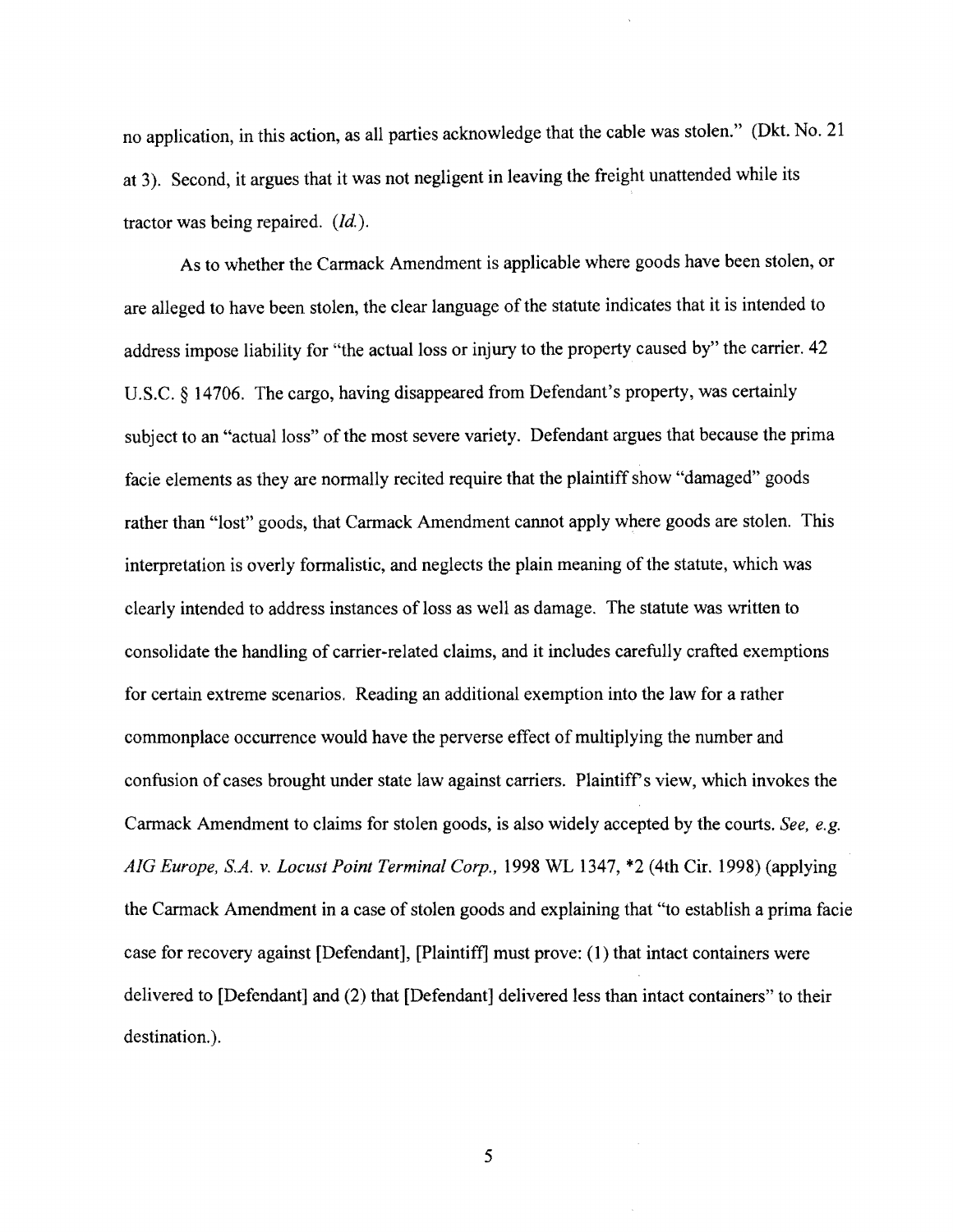no application, in this action, as all parties acknowledge that the cable was stolen." (Dkt. No. 21 at 3). Second, it argues that it was not negligent in leaving the freight unattended while its tractor was being repaired. *(Id.).* 

As to whether the Carmack Amendment is applicable where goods have been stolen, or are alleged to have been stolen, the clear language of the statute indicates that it is intended to address impose liability for "the actual loss or injury to the property caused by" the carrier. 42 U.S.C. § 14706. The cargo, having disappeared from Defendant's property, was certainly subject to an "actual loss" of the most severe variety. Defendant argues that because the prima facie elements as they are normally recited require that the plaintiff show "damaged" goods rather than "lost" goods, that Carmack Amendment cannot apply where goods are stolen. This interpretation is overly formalistic, and neglects the plain meaning of the statute, which was clearly intended to address instances of loss as well as damage. The statute was written to consolidate the handling of carrier-related claims, and it includes carefully crafted exemptions for certain extreme scenarios. Reading an additional exemption into the law for a rather commonplace occurrence would have the perverse effect of multiplying the number and confusion of cases brought under state law against carriers. Plaintiffs view, which invokes the Carmack Amendment to claims for stolen goods, is also widely accepted by the courts. *See, e.g. AIG Europe, S.A.* v. *Locust Point Terminal Corp.,* 1998 WL 1347, \*2 (4th Cir. 1998) (applying the Carmack Amendment in a case of stolen goods and explaining that "to establish a prima facie case for recovery against [Defendant], [Plaintiff] must prove: (1) that intact containers were delivered to [Defendant] and (2) that [Defendant] delivered less than intact containers" to their destination.).

5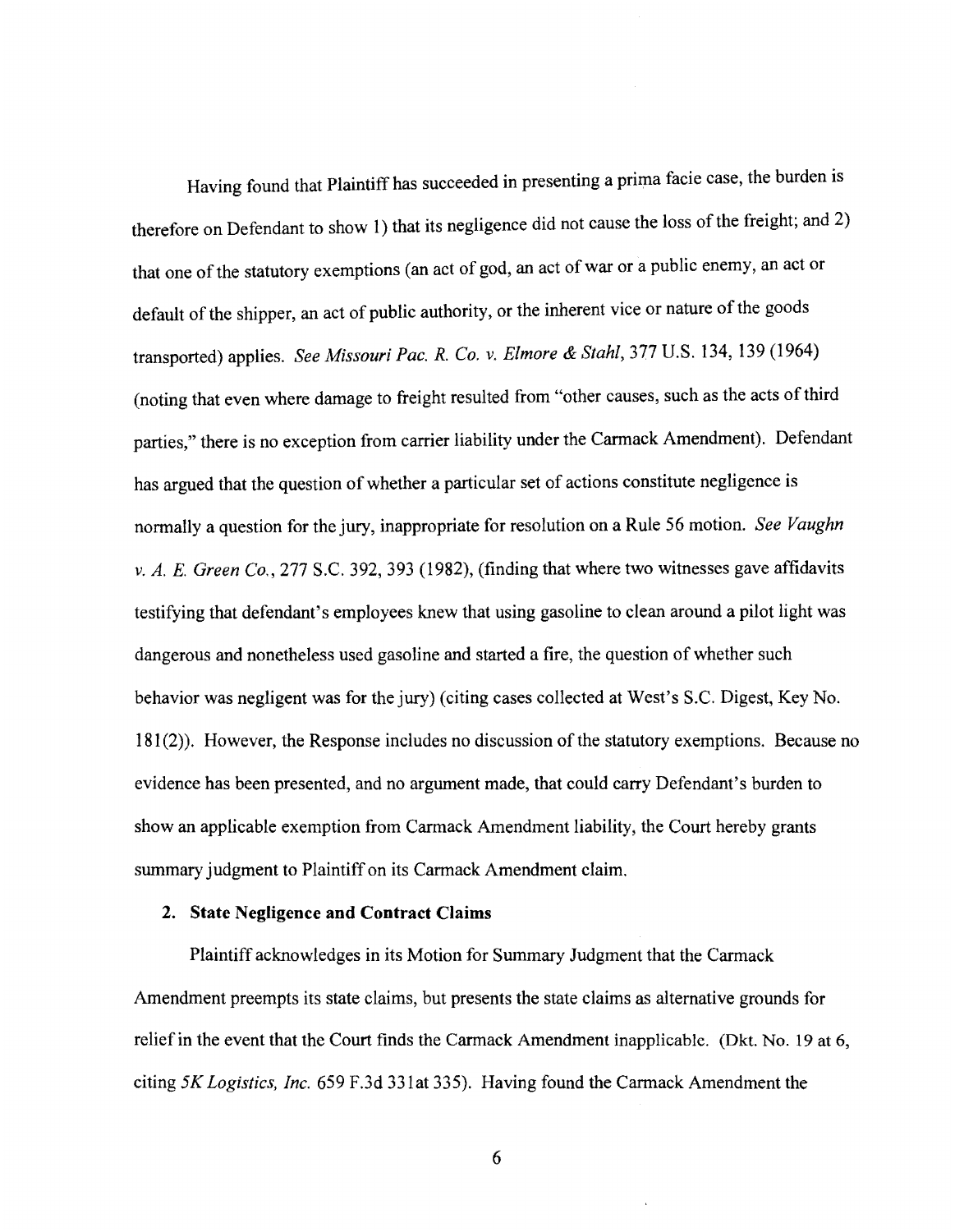Having found that Plaintiff has succeeded in presenting a prima facie case, the burden is therefore on Defendant to show 1) that its negligence did not cause the loss of the freight; and 2) that one of the statutory exemptions (an act of god, an act of war or a public enemy, an act or default of the shipper, an act of public authority, or the inherent vice or nature of the goods transported) applies. *See Missouri Pac. R. Co.* v. *Elmore* & *Stahl,* 377 U.S. 134, 139 (1964) (noting that even where damage to freight resulted from "other causes, such as the acts ofthird parties," there is no exception from carrier liability under the Carmack Amendment). Defendant has argued that the question of whether a particular set of actions constitute negligence is normally a question for the jury, inappropriate for resolution on a Rule 56 motion. *See Vaughn*  v. *A. E. Green Co.*, 277 S.C. 392, 393 (1982), (finding that where two witnesses gave affidavits testifying that defendant's employees knew that using gasoline to clean around a pilot light was dangerous and nonetheless used gasoline and started a fire, the question of whether such behavior was negligent was for the jury) (citing cases collected at West's S.c. Digest, Key No. 181(2)). However, the Response includes no discussion of the statutory exemptions. Because no evidence has been presented, and no argument made, that could carry Defendant's burden to show an applicable exemption from Carmack Amendment liability, the Court hereby grants summary judgment to Plaintiff on its Carmack Amendment claim.

#### **2. State Negligence and Contract Claims**

Plaintiff acknowledges in its Motion for Summary Judgment that the Carmack Amendment preempts its state claims, but presents the state claims as alternative grounds for relief in the event that the Court finds the Carmack Amendment inapplicable. (Dkt. No. 19 at 6, citing *5K Logistics, Inc.* 659 F.3d 331at 335). Having found the Carmack Amendment the

6